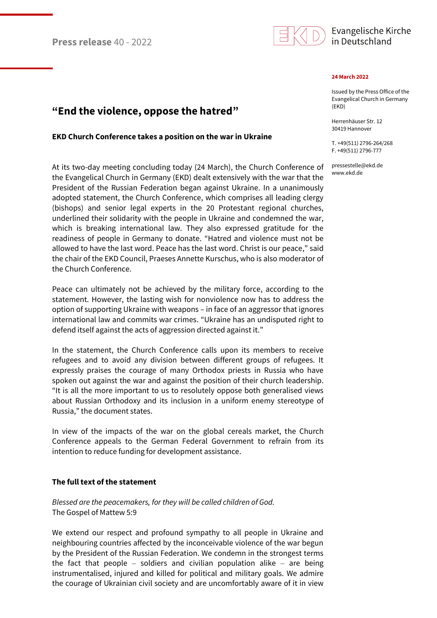

## Evangelische Kirche in Deutschland

#### **24 March 2022**

Issued by the Press Office of the Evangelical Church in Germany (EKD)

Herrenhäuser Str. 12 30419 Hannover

T. +49(511) 2796-264/268 F. +49(511) 2796-777

pressestelle@ekd.de www.ekd.de

# **"End the violence, oppose the hatred"**

#### **EKD Church Conference takes a position on the war in Ukraine**

At its two-day meeting concluding today (24 March), the Church Conference of the Evangelical Church in Germany (EKD) dealt extensively with the war that the President of the Russian Federation began against Ukraine. In a unanimously adopted statement, the Church Conference, which comprises all leading clergy (bishops) and senior legal experts in the 20 Protestant regional churches, underlined their solidarity with the people in Ukraine and condemned the war, which is breaking international law. They also expressed gratitude for the readiness of people in Germany to donate. "Hatred and violence must not be allowed to have the last word. Peace has the last word. Christ is our peace," said the chair of the EKD Council, Praeses Annette Kurschus, who is also moderator of the Church Conference.

Peace can ultimately not be achieved by the military force, according to the statement. However, the lasting wish for nonviolence now has to address the option of supporting Ukraine with weapons – in face of an aggressor that ignores international law and commits war crimes. "Ukraine has an undisputed right to defend itself against the acts of aggression directed against it."

In the statement, the Church Conference calls upon its members to receive refugees and to avoid any division between different groups of refugees. It expressly praises the courage of many Orthodox priests in Russia who have spoken out against the war and against the position of their church leadership. "It is all the more important to us to resolutely oppose both generalised views about Russian Orthodoxy and its inclusion in a uniform enemy stereotype of Russia," the document states.

In view of the impacts of the war on the global cereals market, the Church Conference appeals to the German Federal Government to refrain from its intention to reduce funding for development assistance.

### **The full text of the statement**

*Blessed are the peacemakers, for they will be called children of God.* The Gospel of Mattew 5:9

We extend our respect and profound sympathy to all people in Ukraine and neighbouring countries affected by the inconceivable violence of the war begun by the President of the Russian Federation. We condemn in the strongest terms the fact that people  $-$  soldiers and civilian population alike  $-$  are being instrumentalised, injured and killed for political and military goals. We admire the courage of Ukrainian civil society and are uncomfortably aware of it in view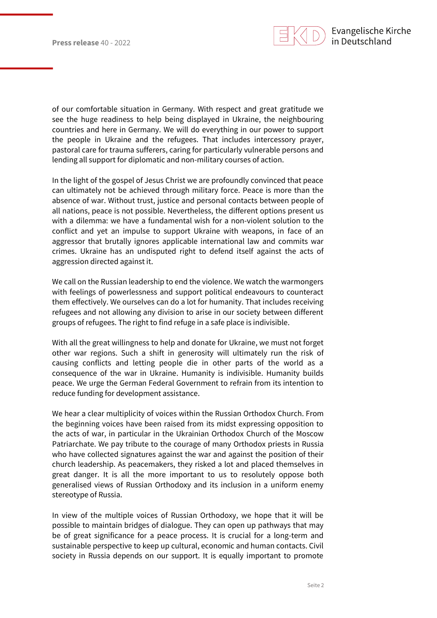

of our comfortable situation in Germany. With respect and great gratitude we see the huge readiness to help being displayed in Ukraine, the neighbouring countries and here in Germany. We will do everything in our power to support the people in Ukraine and the refugees. That includes intercessory prayer, pastoral care for trauma sufferers, caring for particularly vulnerable persons and lending all support for diplomatic and non-military courses of action.

In the light of the gospel of Jesus Christ we are profoundly convinced that peace can ultimately not be achieved through military force. Peace is more than the absence of war. Without trust, justice and personal contacts between people of all nations, peace is not possible. Nevertheless, the different options present us with a dilemma: we have a fundamental wish for a non-violent solution to the conflict and yet an impulse to support Ukraine with weapons, in face of an aggressor that brutally ignores applicable international law and commits war crimes. Ukraine has an undisputed right to defend itself against the acts of aggression directed against it.

We call on the Russian leadership to end the violence. We watch the warmongers with feelings of powerlessness and support political endeavours to counteract them effectively. We ourselves can do a lot for humanity. That includes receiving refugees and not allowing any division to arise in our society between different groups of refugees. The right to find refuge in a safe place is indivisible.

With all the great willingness to help and donate for Ukraine, we must not forget other war regions. Such a shift in generosity will ultimately run the risk of causing conflicts and letting people die in other parts of the world as a consequence of the war in Ukraine. Humanity is indivisible. Humanity builds peace. We urge the German Federal Government to refrain from its intention to reduce funding for development assistance.

We hear a clear multiplicity of voices within the Russian Orthodox Church. From the beginning voices have been raised from its midst expressing opposition to the acts of war, in particular in the Ukrainian Orthodox Church of the Moscow Patriarchate. We pay tribute to the courage of many Orthodox priests in Russia who have collected signatures against the war and against the position of their church leadership. As peacemakers, they risked a lot and placed themselves in great danger. It is all the more important to us to resolutely oppose both generalised views of Russian Orthodoxy and its inclusion in a uniform enemy stereotype of Russia.

In view of the multiple voices of Russian Orthodoxy, we hope that it will be possible to maintain bridges of dialogue. They can open up pathways that may be of great significance for a peace process. It is crucial for a long-term and sustainable perspective to keep up cultural, economic and human contacts. Civil society in Russia depends on our support. It is equally important to promote